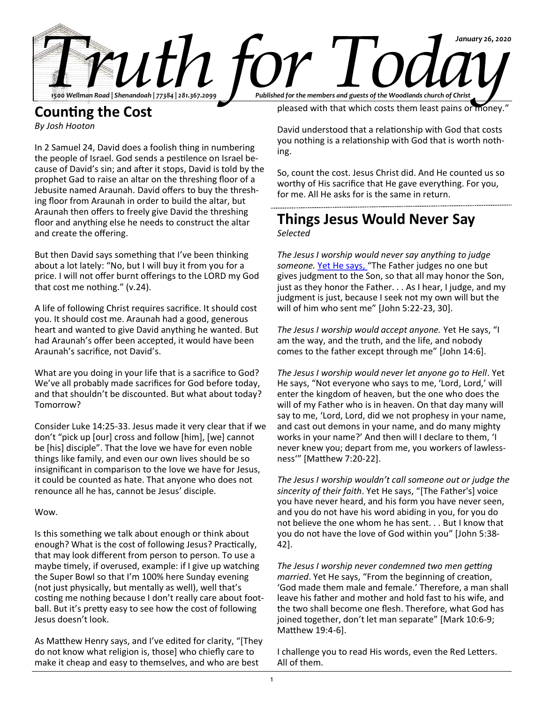

## **Counting the Cost** *By Josh Hooton*

In 2 Samuel 24, David does a foolish thing in numbering the people of Israel. God sends a pestilence on Israel because of David's sin; and after it stops, David is told by the prophet Gad to raise an altar on the threshing floor of a Jebusite named Araunah. David offers to buy the threshing floor from Araunah in order to build the altar, but Araunah then offers to freely give David the threshing floor and anything else he needs to construct the altar and create the offering.

But then David says something that I've been thinking about a lot lately: "No, but I will buy it from you for a price. I will not offer burnt offerings to the LORD my God that cost me nothing." (v.24).

A life of following Christ requires sacrifice. It should cost you. It should cost me. Araunah had a good, generous heart and wanted to give David anything he wanted. But had Araunah's offer been accepted, it would have been Araunah's sacrifice, not David's.

What are you doing in your life that is a sacrifice to God? We've all probably made sacrifices for God before today, and that shouldn't be discounted. But what about today? Tomorrow?

Consider Luke 14:25-33. Jesus made it very clear that if we don't "pick up [our] cross and follow [him], [we] cannot be [his] disciple". That the love we have for even noble things like family, and even our own lives should be so insignificant in comparison to the love we have for Jesus, it could be counted as hate. That anyone who does not renounce all he has, cannot be Jesus' disciple.

#### Wow.

Is this something we talk about enough or think about enough? What is the cost of following Jesus? Practically, that may look different from person to person. To use a maybe timely, if overused, example: if I give up watching the Super Bowl so that I'm 100% here Sunday evening (not just physically, but mentally as well), well that's costing me nothing because I don't really care about football. But it's pretty easy to see how the cost of following Jesus doesn't look.

As Matthew Henry says, and I've edited for clarity, "[They do not know what religion is, those] who chiefly care to make it cheap and easy to themselves, and who are best

pleased with that which costs them least pains or money."

David understood that a relationship with God that costs you nothing is a relationship with God that is worth nothing.

So, count the cost. Jesus Christ did. And He counted us so worthy of His sacrifice that He gave everything. For you, for me. All He asks for is the same in return.

# **Things Jesus Would Never Say** *Selected*

*The Jesus I worship would never say anything to judge someone.* Yet He says, "The Father judges no one but gives judgment to the Son, so that all may honor the Son, just as they honor the Father. . . As I hear, I judge, and my judgment is just, because I seek not my own will but the will of him who sent me" [John 5:22-23, 30].

*The Jesus I worship would accept anyone.* Yet He says, "I am the way, and the truth, and the life, and nobody comes to the father except through me" [John 14:6].

*The Jesus I worship would never let anyone go to Hell*. Yet He says, "Not everyone who says to me, 'Lord, Lord,' will enter the kingdom of heaven, but the one who does the will of my Father who is in heaven. On that day many will say to me, 'Lord, Lord, did we not prophesy in your name, and cast out demons in your name, and do many mighty works in your name?' And then will I declare to them, 'I never knew you; depart from me, you workers of lawlessness'" [Matthew 7:20-22].

*The Jesus I worship wouldn't call someone out or judge the sincerity of their faith*. Yet He says, "[The Father's] voice you have never heard, and his form you have never seen, and you do not have his word abiding in you, for you do not believe the one whom he has sent. . . But I know that you do not have the love of God within you" [John 5:38- 42].

*The Jesus I worship never condemned two men getting married*. Yet He says, "From the beginning of creation, 'God made them male and female.' Therefore, a man shall leave his father and mother and hold fast to his wife, and the two shall become one flesh. Therefore, what God has joined together, don't let man separate" [Mark 10:6-9; Matthew 19:4-6].

I challenge you to read His words, even the Red Letters. All of them.